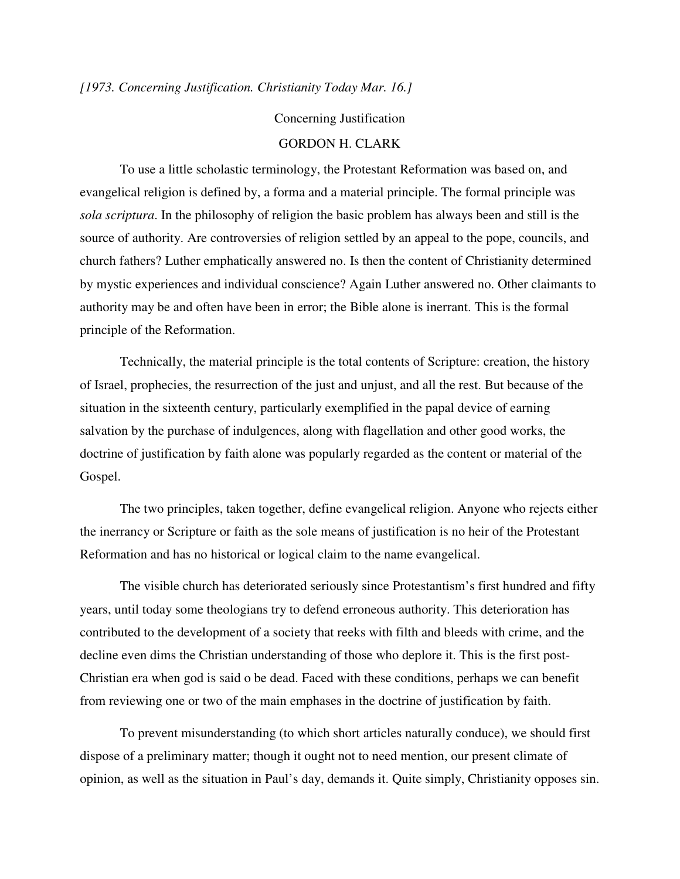*[1973. Concerning Justification. Christianity Today Mar. 16.]* 

## Concerning Justification

## GORDON H. CLARK

 To use a little scholastic terminology, the Protestant Reformation was based on, and evangelical religion is defined by, a forma and a material principle. The formal principle was *sola scriptura*. In the philosophy of religion the basic problem has always been and still is the source of authority. Are controversies of religion settled by an appeal to the pope, councils, and church fathers? Luther emphatically answered no. Is then the content of Christianity determined by mystic experiences and individual conscience? Again Luther answered no. Other claimants to authority may be and often have been in error; the Bible alone is inerrant. This is the formal principle of the Reformation.

 Technically, the material principle is the total contents of Scripture: creation, the history of Israel, prophecies, the resurrection of the just and unjust, and all the rest. But because of the situation in the sixteenth century, particularly exemplified in the papal device of earning salvation by the purchase of indulgences, along with flagellation and other good works, the doctrine of justification by faith alone was popularly regarded as the content or material of the Gospel.

 The two principles, taken together, define evangelical religion. Anyone who rejects either the inerrancy or Scripture or faith as the sole means of justification is no heir of the Protestant Reformation and has no historical or logical claim to the name evangelical.

 The visible church has deteriorated seriously since Protestantism's first hundred and fifty years, until today some theologians try to defend erroneous authority. This deterioration has contributed to the development of a society that reeks with filth and bleeds with crime, and the decline even dims the Christian understanding of those who deplore it. This is the first post-Christian era when god is said o be dead. Faced with these conditions, perhaps we can benefit from reviewing one or two of the main emphases in the doctrine of justification by faith.

 To prevent misunderstanding (to which short articles naturally conduce), we should first dispose of a preliminary matter; though it ought not to need mention, our present climate of opinion, as well as the situation in Paul's day, demands it. Quite simply, Christianity opposes sin.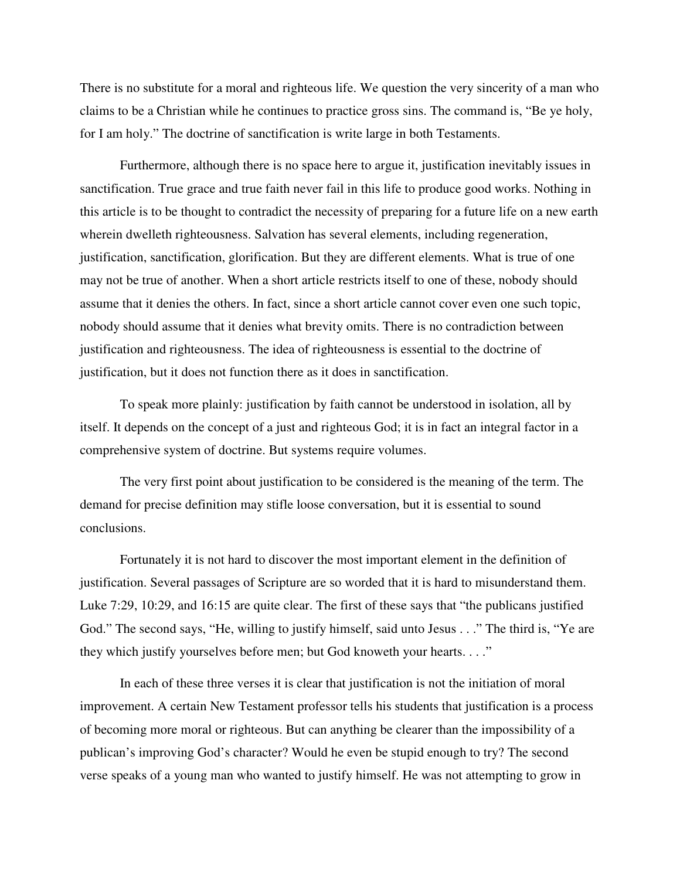There is no substitute for a moral and righteous life. We question the very sincerity of a man who claims to be a Christian while he continues to practice gross sins. The command is, "Be ye holy, for I am holy." The doctrine of sanctification is write large in both Testaments.

 Furthermore, although there is no space here to argue it, justification inevitably issues in sanctification. True grace and true faith never fail in this life to produce good works. Nothing in this article is to be thought to contradict the necessity of preparing for a future life on a new earth wherein dwelleth righteousness. Salvation has several elements, including regeneration, justification, sanctification, glorification. But they are different elements. What is true of one may not be true of another. When a short article restricts itself to one of these, nobody should assume that it denies the others. In fact, since a short article cannot cover even one such topic, nobody should assume that it denies what brevity omits. There is no contradiction between justification and righteousness. The idea of righteousness is essential to the doctrine of justification, but it does not function there as it does in sanctification.

 To speak more plainly: justification by faith cannot be understood in isolation, all by itself. It depends on the concept of a just and righteous God; it is in fact an integral factor in a comprehensive system of doctrine. But systems require volumes.

 The very first point about justification to be considered is the meaning of the term. The demand for precise definition may stifle loose conversation, but it is essential to sound conclusions.

 Fortunately it is not hard to discover the most important element in the definition of justification. Several passages of Scripture are so worded that it is hard to misunderstand them. Luke 7:29, 10:29, and 16:15 are quite clear. The first of these says that "the publicans justified God." The second says, "He, willing to justify himself, said unto Jesus . . ." The third is, "Ye are they which justify yourselves before men; but God knoweth your hearts. . . ."

 In each of these three verses it is clear that justification is not the initiation of moral improvement. A certain New Testament professor tells his students that justification is a process of becoming more moral or righteous. But can anything be clearer than the impossibility of a publican's improving God's character? Would he even be stupid enough to try? The second verse speaks of a young man who wanted to justify himself. He was not attempting to grow in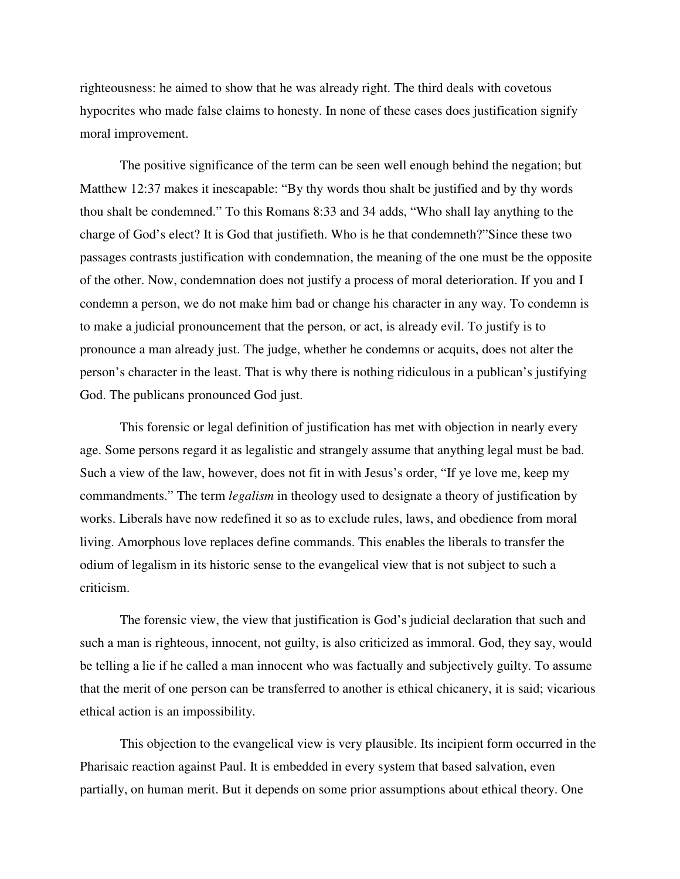righteousness: he aimed to show that he was already right. The third deals with covetous hypocrites who made false claims to honesty. In none of these cases does justification signify moral improvement.

 The positive significance of the term can be seen well enough behind the negation; but Matthew 12:37 makes it inescapable: "By thy words thou shalt be justified and by thy words thou shalt be condemned." To this Romans 8:33 and 34 adds, "Who shall lay anything to the charge of God's elect? It is God that justifieth. Who is he that condemneth?"Since these two passages contrasts justification with condemnation, the meaning of the one must be the opposite of the other. Now, condemnation does not justify a process of moral deterioration. If you and I condemn a person, we do not make him bad or change his character in any way. To condemn is to make a judicial pronouncement that the person, or act, is already evil. To justify is to pronounce a man already just. The judge, whether he condemns or acquits, does not alter the person's character in the least. That is why there is nothing ridiculous in a publican's justifying God. The publicans pronounced God just.

 This forensic or legal definition of justification has met with objection in nearly every age. Some persons regard it as legalistic and strangely assume that anything legal must be bad. Such a view of the law, however, does not fit in with Jesus's order, "If ye love me, keep my commandments." The term *legalism* in theology used to designate a theory of justification by works. Liberals have now redefined it so as to exclude rules, laws, and obedience from moral living. Amorphous love replaces define commands. This enables the liberals to transfer the odium of legalism in its historic sense to the evangelical view that is not subject to such a criticism.

 The forensic view, the view that justification is God's judicial declaration that such and such a man is righteous, innocent, not guilty, is also criticized as immoral. God, they say, would be telling a lie if he called a man innocent who was factually and subjectively guilty. To assume that the merit of one person can be transferred to another is ethical chicanery, it is said; vicarious ethical action is an impossibility.

 This objection to the evangelical view is very plausible. Its incipient form occurred in the Pharisaic reaction against Paul. It is embedded in every system that based salvation, even partially, on human merit. But it depends on some prior assumptions about ethical theory. One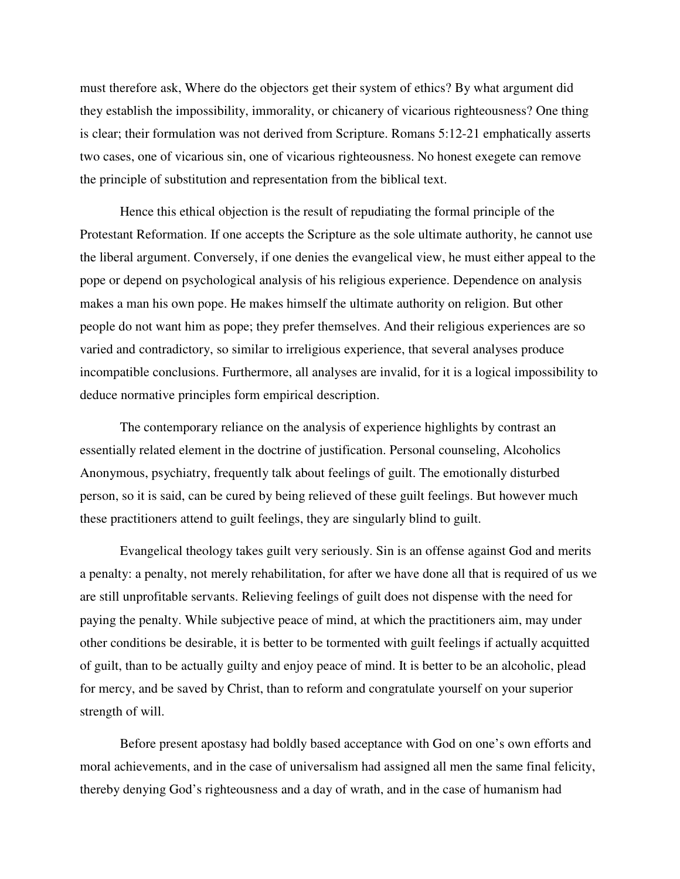must therefore ask, Where do the objectors get their system of ethics? By what argument did they establish the impossibility, immorality, or chicanery of vicarious righteousness? One thing is clear; their formulation was not derived from Scripture. Romans 5:12-21 emphatically asserts two cases, one of vicarious sin, one of vicarious righteousness. No honest exegete can remove the principle of substitution and representation from the biblical text.

 Hence this ethical objection is the result of repudiating the formal principle of the Protestant Reformation. If one accepts the Scripture as the sole ultimate authority, he cannot use the liberal argument. Conversely, if one denies the evangelical view, he must either appeal to the pope or depend on psychological analysis of his religious experience. Dependence on analysis makes a man his own pope. He makes himself the ultimate authority on religion. But other people do not want him as pope; they prefer themselves. And their religious experiences are so varied and contradictory, so similar to irreligious experience, that several analyses produce incompatible conclusions. Furthermore, all analyses are invalid, for it is a logical impossibility to deduce normative principles form empirical description.

 The contemporary reliance on the analysis of experience highlights by contrast an essentially related element in the doctrine of justification. Personal counseling, Alcoholics Anonymous, psychiatry, frequently talk about feelings of guilt. The emotionally disturbed person, so it is said, can be cured by being relieved of these guilt feelings. But however much these practitioners attend to guilt feelings, they are singularly blind to guilt.

 Evangelical theology takes guilt very seriously. Sin is an offense against God and merits a penalty: a penalty, not merely rehabilitation, for after we have done all that is required of us we are still unprofitable servants. Relieving feelings of guilt does not dispense with the need for paying the penalty. While subjective peace of mind, at which the practitioners aim, may under other conditions be desirable, it is better to be tormented with guilt feelings if actually acquitted of guilt, than to be actually guilty and enjoy peace of mind. It is better to be an alcoholic, plead for mercy, and be saved by Christ, than to reform and congratulate yourself on your superior strength of will.

 Before present apostasy had boldly based acceptance with God on one's own efforts and moral achievements, and in the case of universalism had assigned all men the same final felicity, thereby denying God's righteousness and a day of wrath, and in the case of humanism had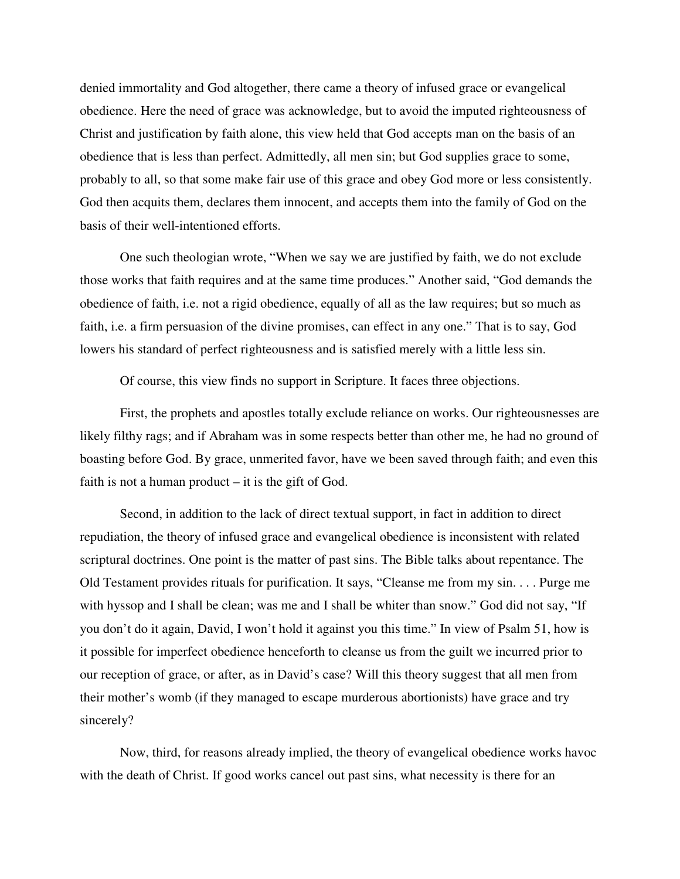denied immortality and God altogether, there came a theory of infused grace or evangelical obedience. Here the need of grace was acknowledge, but to avoid the imputed righteousness of Christ and justification by faith alone, this view held that God accepts man on the basis of an obedience that is less than perfect. Admittedly, all men sin; but God supplies grace to some, probably to all, so that some make fair use of this grace and obey God more or less consistently. God then acquits them, declares them innocent, and accepts them into the family of God on the basis of their well-intentioned efforts.

 One such theologian wrote, "When we say we are justified by faith, we do not exclude those works that faith requires and at the same time produces." Another said, "God demands the obedience of faith, i.e. not a rigid obedience, equally of all as the law requires; but so much as faith, i.e. a firm persuasion of the divine promises, can effect in any one." That is to say, God lowers his standard of perfect righteousness and is satisfied merely with a little less sin.

Of course, this view finds no support in Scripture. It faces three objections.

 First, the prophets and apostles totally exclude reliance on works. Our righteousnesses are likely filthy rags; and if Abraham was in some respects better than other me, he had no ground of boasting before God. By grace, unmerited favor, have we been saved through faith; and even this faith is not a human product  $-$  it is the gift of God.

 Second, in addition to the lack of direct textual support, in fact in addition to direct repudiation, the theory of infused grace and evangelical obedience is inconsistent with related scriptural doctrines. One point is the matter of past sins. The Bible talks about repentance. The Old Testament provides rituals for purification. It says, "Cleanse me from my sin. . . . Purge me with hyssop and I shall be clean; was me and I shall be whiter than snow." God did not say, "If you don't do it again, David, I won't hold it against you this time." In view of Psalm 51, how is it possible for imperfect obedience henceforth to cleanse us from the guilt we incurred prior to our reception of grace, or after, as in David's case? Will this theory suggest that all men from their mother's womb (if they managed to escape murderous abortionists) have grace and try sincerely?

 Now, third, for reasons already implied, the theory of evangelical obedience works havoc with the death of Christ. If good works cancel out past sins, what necessity is there for an